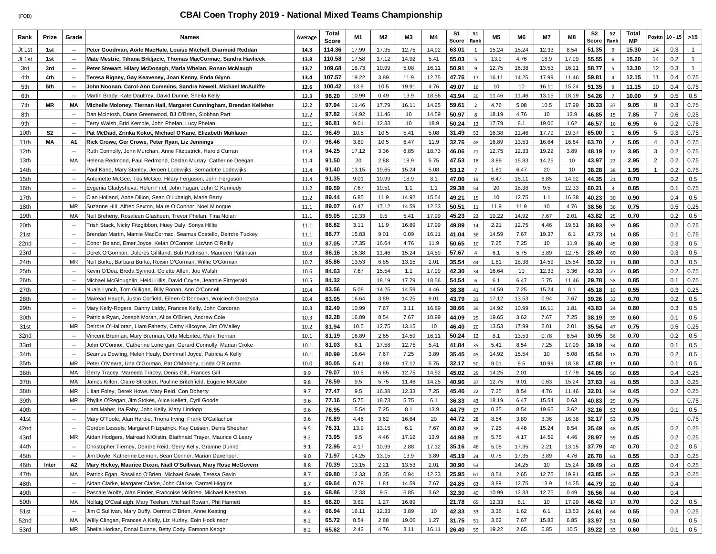## **CBAI Coen Trophy 2019 - National Mixed Teams Championship**

| Rank         | Prize          | Grade                                                | Names                                                                                                                       | Average      | Total<br>Score | M1            | M2           | M3            | M4           | S1<br>Score    | <b>S1</b><br>Rank | M <sub>5</sub> | M6           | M7          | M8            | S <sub>2</sub><br>Score | S2<br>Rank              | Total<br><b>MP</b> | Positn         | $10 - 15$  | $>15$        |
|--------------|----------------|------------------------------------------------------|-----------------------------------------------------------------------------------------------------------------------------|--------------|----------------|---------------|--------------|---------------|--------------|----------------|-------------------|----------------|--------------|-------------|---------------|-------------------------|-------------------------|--------------------|----------------|------------|--------------|
| Jt 1st       | 1st            | н.                                                   | Peter Goodman, Aoife MacHale, Louise Mitchell, Diarmuid Reddan                                                              | 14.3         | 114.36         | 17.99         | 17.35        | 12.75         | 14.92        | 63.01          | 1                 | 15.24          | 15.24        | 12.33       | 8.54          | 51.35                   | 9                       | 15.30              | 14             | 0.3        | $\mathbf{1}$ |
| Jt 1st       | 1st            | н.                                                   | Mate Mestric, Tihana Brkljacic, Thomas MacCormac, Sandra Havlicek                                                           | 13.8         | 110.58         | 17.58         | 17.12        | 14.92         | 5.41         | 55.03          | 5                 | 13.9           | 4.76         | 18.9        | 17.99         | 55.55                   | 6                       | 15.20              | 14             | 0.2        | $\mathbf{1}$ |
| 3rd          | 3rd            | $\overline{\phantom{a}}$                             | Peter Stewart, Hilary McDonagh, Maria Whelan, Ronan McMaugh                                                                 | 13.7         | 109.68         | 18.73         | 10.99        | 5.08          | 16.11        | 50.91          | $\overline{9}$    | 12.75          | 16.38        | 13.53       | 16.11         | 58.77                   | $\overline{\mathbf{S}}$ | 13.30              | 12             | 0.3        | $\mathbf{1}$ |
| 4th          | 4th            | н.                                                   | Teresa Rigney, Gay Keaveney, Joan Kenny, Enda Glynn                                                                         | 13.4         | 107.57         | 19.22         | 3.89         | 11.9          | 12.75        | 47.76          | 17                | 16.11          | 14.25        | 17.99       | 11.46         | 59.81                   |                         | 12.15              | 11             | 0.4        | 0.75         |
| 5th          | 5th            | $\overline{\phantom{a}}$                             | John Noonan, Carol-Ann Cummins, Sandra Newell, Michael McAuliffe                                                            | 12.6         | 100.42         | 13.9          | 10.5         | 19.91         | 4.76         | 49.07          | 16                | 10             | 10           | 16.11       | 15.24         | 51.35                   | $\mathbf{q}$            | 11.15              | 10             | 0.4        | 0.75         |
| 6th          |                | $\overline{\phantom{a}}$                             | Martin Brady, Kate Daultrey, David Dunne, Sheila Kelly                                                                      | 12.3         | 98.20          | 10.99         | 0.49         | 13.9          | 18.56        | 43.94          | 30                | 11.46          | 11.46        | 13.15       | 18.19         | 54.26                   | $\overline{7}$          | 10.00              | 9              | 0.5        | 0.5          |
| 7th          | <b>MR</b>      | МA                                                   | Michelle Moloney, Tiernan Hall, Margaret Cunningham, Brendan Kelleher                                                       | 12.2         | 97.94          | 11.46         | 17.79        | 16.11         | 14.25        | 59.61          | $\overline{2}$    | 4.76           | 5.08         | 10.5        | 17.99         | 38.33                   | 37                      | 9.05               | 8              | 0.3        | 0.75         |
| 8th          |                | --                                                   | Dan McIntosh, Diane Greenwood, BJ O'Brien, Siobhan Part                                                                     | 12.2         | 97.82          | 14.92         | 11.46        | 10            | 14.59        | 50.97          | 8                 | 18.19          | 4.76         | 10          | 13.9          | 46.85                   | 15                      | 7.85               | $\overline{7}$ | 0.6        | 0.25         |
| 9th          |                | $\overline{\phantom{a}}$                             | Terry Walsh, Brid Kemple, John Phelan, Lucy Phelan                                                                          | 12.1         | 96.81          | 9.01          | 12.33        | 10            | 18.9         | 50.24          | 12                | 17.79          | 8.1          | 19.06       | 1.62          | 46.57                   | 16                      | 6.95               | 6              | 0.2        | 0.75         |
| 10th         | S <sub>2</sub> | н.                                                   | Pat McDaid, Zrinka Kokot, Michael O'Kane, Elizabeth Muhlauer                                                                | 12.1         | 96.49          | 10.5          | 10.5         | 5.41          | 5.08         | 31.49          | 52                | 16.38          | 11.46        | 17.79       | 19.37         | 65.00                   | $\mathbf{1}$            | 6.05               | 5              | 0.3        | 0.75         |
| 11th         | MА             | A1                                                   | Rick Crowe, Ger Crowe, Peter Ryan, Liz Jennings                                                                             | 12.1         | 96.46          | 3.89          | 10.5         | 6.47          | 11.9         | 32.76          | 48                | 16.89          | 13.53        | 16.64       | 16.64         | 63.70                   | 2                       | 5.05               | $\overline{4}$ | 0.3        | 0.75         |
| 12th         |                | $\overline{\phantom{a}}$                             | Ruth Connolly, John Murchan, Anne Fitzpatrick, Harold Curran                                                                | 11.8         | 94.25          | 17.12         | 3.36         | 6.85          | 18.73        | 46.06          | 21                | 12.75          | 12.33        | 19.22       | 3.89          | 48.19                   | 12                      | 3.95               | 3              | 0.2        | 0.75         |
| 13th         |                | MA                                                   | Helena Redmond, Paul Redmond, Declan Murray, Catherine Deegan                                                               | 11.4         | 91.50          | 20            | 2.88         | 18.9          | 5.75         | 47.53          | 18                | 3.89           | 15.83        | 14.25       | 10            | 43.97                   | 22                      | 2.95               | $\overline{2}$ | 0.2        | 0.75         |
| 14th         |                | $\overline{\phantom{a}}$                             | Paul Kane, Mary Stanley, Jeroen Lodewijks, Bernadette Lodewijks                                                             | 11.4         | 91.40          | 13.15         | 19.65        | 15.24         | 5.08         | 53.12          | $\overline{7}$    | 1.81           | 6.47         | 20          | 10            | 38.28                   | 38                      | 1.95               |                | 0.2        | 0.75         |
| 15th         |                | $\overline{\phantom{a}}$                             | Antoinette McGee, Tos McGee, Hilary Ferguson, John Ferguson                                                                 | 11.4         | 91.35          | 9.01          | 10.99        | 18.9          | 8.1          | 47.00          | 19                | 6.47           | 16.11        | 6.85        | 14.92         | 44.35                   | 21                      | 0.70               |                | 0.2        | 0.5          |
| 16th         |                | $\overline{\phantom{a}}$                             | Evgenia Gladysheva, Helen Friel, John Fagan, John G Kennedy                                                                 | 11.2         | 89.59          | 7.67          | 19.51        | 1.1           | 1.1          | 29.38          | 54                | 20             | 18.38        | 9.5         | 12.33         | 60.21                   | $\overline{3}$          | 0.85               |                | 0.1        | 0.75         |
| 17th         |                | --                                                   | Cian Holland, Anne Dillon, Sean O'Lubaigh, Maria Barry                                                                      | 11.2         | 89.44          | 6.85          | 11.9         | 14.92         | 15.54        | 49.21          | 15                | 10             | 12.75        | 1.1         | 16.38         | 40.23                   | 30                      | 0.90               |                | 0.4        | 0.5          |
| 18th         |                | <b>MR</b>                                            | Suzanne Hill, Alfred Sexton, Maire O'Connor, Noel Minoque                                                                   | 11.1         | 89.07          | 6.47          | 17.12        | 14.59         | 12.33        | 50.51          | 11                | 11.9           | 11.9         | 10          | 4.76          | 38.56                   | 36                      | 0.75               |                | 0.5        | 0.25         |
| 19th         |                | MA                                                   | Neil Breheny, Rosaleen Glasheen, Trevor Phelan, Tina Nolan                                                                  | 11.1         | 89.05          | 12.33         | 9.5          | 5.41          | 17.99        | 45.23          | 23                | 19.22          | 14.92        | 7.67        | 2.01          | 43.82                   | 25                      | 0.70               |                | 0.2        | 0.5          |
| 20th         |                | $\overline{\phantom{a}}$                             | Trish Stack, Nicky Fitzgibbon, Huey Daly, Sonya Hillis                                                                      | 11.1         | 88.82          | 3.11          | 11.9         | 16.89         | 17.99        | 49.89          | 14                | 2.21           | 12.75        | 4.46        | 19.51         | 38.93                   | 35                      | 0.95               |                | 0.2        | 0.75         |
| 21st         |                | --                                                   | Brendan Martin, Mamie MacCormac, Seamus Costello, Deirdre Tuckey                                                            | 11.1         | 88.77          | 15.83         | 9.01         | 0.09          | 16.11        | 41.04          | 36                | 14.59          | 7.67         | 19.37       | 6.1           | 47.73                   | 14                      | 0.85               |                | 0.1        | 0.75         |
| 22nd         |                | $\overline{\phantom{a}}$                             | Conor Boland, Emer Joyce, Kelan O'Connor, LizAnn O'Reilly                                                                   | 10.9         | 87.05          | 17.35         | 16.64        | 4.76          | 11.9         | 50.65          | 10                | 7.25           | 7.25         | 10          | 11.9          | 36.40                   | 45                      | 0.80               |                | 0.3        | 0.5          |
| 23rd         |                | $\overline{\phantom{a}}$                             | Derek O'Gorman, Dolores Gilliland, Bob Pattinson, Maureen Pattinson                                                         | 10.8         | 86.16          | 16.38         | 11.46        | 15.24         | 14.59        | 57.67          | $\overline{4}$    | 6.1            | 5.75         | 3.89        | 12.75         | 28.49                   | 60                      | 0.80               |                | 0.3        | 0.5          |
| 24th         |                | MR                                                   | Neil Burke, Barbara Burke, Roisin O'Gorman, Willie O'Gorman                                                                 | 10.7         | 85.86          | 13.53         | 6.85         | 13.15         | 2.01         | 35.54          | 44                | 1.81           | 18.38        | 14.59       | 15.54         | 50.32                   | 11                      | 0.80               |                | 0.3        | 0.5          |
| 25th         |                | $\overline{\phantom{a}}$                             | Kevin O'Dea, Breda Synnott, Colette Allen, Joe Walsh                                                                        | 10.6         | 84.63          | 7.67          | 15.54        | 1.1           | 17.99        | 42.30          | 34                | 16.64          | 10           | 12.33       | 3.36          | 42.33                   | 27                      | 0.95               |                | 0.2        | 0.75         |
| 26th         |                | $\overline{\phantom{a}}$                             | Michael McGloughlin, Heidi Lillis, David Coyne, Jeannie Fitzgerald                                                          | 10.5         | 84.32          |               | 18.19        | 17.79         | 18.56        | 54.54          | 6                 | 6.1            | 6.47         | 5.75        | 11.46         | 29.78                   | 58                      | 0.85               |                | 0.1        | 0.75         |
| 27th         |                | $\overline{\phantom{a}}$                             | Nuala Lynch, Tom Gilligan, Billy Ronan, Ann O'Connell                                                                       | 10.4         | 83.56          | 5.08          | 14.25        | 14.59         | 4.46         | 38.38          | 41                | 14.59          | 7.25         | 15.24       | 8.1           | 45.18                   | 19                      | 0.55               |                | 0.3        | 0.25         |
| 28th         |                | $\overline{\phantom{a}}$                             | Mairead Haugh, Justin Corfield, Eileen O'Donovan, Wojciech Gorczyca                                                         | 10.4         | 83.05          | 16.64         | 3.89         | 14.25         | 9.01         | 43.79          | 31                | 17.12          | 13.53        | 0.94        | 7.67          | 39.26                   | 32                      | 0.70               |                | 0.2        | 0.5          |
| 29th         |                | $\overline{\phantom{a}}$                             | Mary Kelly-Rogers, Danny Liddy, Frances Kelly, John Corcoran                                                                | 10.3         | 82.49          | 10.99         | 7.67         | 3.11          | 16.89        | 38.66          | 39                | 14.92          | 10.99        | 16.11       | 1.81          | 43.83                   | 24                      | 0.80               |                | 0.3        | 0.5          |
| 30th         |                | $\overline{\phantom{a}}$                             | Patricia Ryan, Joseph Moran, Alice O'Brien, Andrew Cole                                                                     | 10.3         | 82.28          | 16.89         | 8.54         | 7.67          | 10.99        | 44.09          | 29                | 19.65          | 3.62         | 7.67        | 7.25          | 38.19                   | 39                      | 0.60               |                | 0.1        | 0.5          |
| 31st         |                | MR                                                   | Deirdre O'Halloran, Liam Faherty, Cathy Kilcoyne, Jim O'Malley                                                              | 10.2         | 81.94          | 10.5          | 12.75        | 13.15         | 10           | 46.40          | 20                | 13.53          | 17.99        | 2.01        | 2.01          | 35.54                   | 47                      | 0.75               |                | 0.5        | 0.25         |
| 32nd         |                | $\overline{\phantom{a}}$                             | Vincent Brennan, Mary Brennan, Orla McEntee, Mark Tiernan                                                                   | 10.1         | 81.19          | 16.89         | 2.65         | 14.59         | 16.11        | 50.24          | 12                | 8.1            | 13.53        | 0.78        | 8.54          | 30.95                   | 56                      | 0.70               |                | 0.2        | 0.5          |
| 33rd         |                | $\overline{\phantom{a}}$<br>$\overline{\phantom{a}}$ | John O'Connor, Catherine Lonergan, Gerard Connolly, Marian Croke                                                            | 10.1         | 81.03          | 6.1           | 17.58        | 12.75         | 5.41         | 41.84          | 35                | 5.41           | 8.54         | 7.25        | 17.99         | 39.19                   | 34                      | 0.60               |                | 0.1        | 0.5          |
| 34th<br>35th |                | MR                                                   | Seamus Dowling, Helen Healy, Domhnall Joyce, Patricia A Kelly<br>Peter O'Meara, Una O'Gorman, Pat O'Mahony, Linda O'Riordan | 10.1<br>10.0 | 80.99<br>80.05 | 16.64<br>5.41 | 7.67<br>3.89 | 7.25<br>17.12 | 3.89<br>5.75 | 35.45<br>32.17 | 45<br>50          | 14.92<br>9.01  | 15.54<br>9.5 | 10<br>10.99 | 5.08<br>18.38 | 45.54<br>47.88          | 18<br>13                | 0.70<br>0.60       |                | 0.2<br>0.1 | 0.5<br>0.5   |
| 36th         |                | МA                                                   | Gerry Tracey, Mareeda Tracey, Denis Gill, Frances Gill                                                                      | 9.9          | 79.07          | 10.5          | 6.85         | 12.75         | 14.92        | 45.02          | 25                | 14.25          | 2.01         |             | 17.79         | 34.05                   | 50                      | 0.65               |                | 0.4        | 0.25         |
| 37th         |                | MA                                                   | James Killen, Claire Strecker, Pauline Britchfield, Eugene McCabe                                                           | 9.8          | 78.59          | 9.5           | 5.75         | 11.46         | 14.25        | 40.96          | 37                | 12.75          | 9.01         | 0.63        | 15.24         | 37.63                   | 41                      | 0.55               |                | 0.3        | 0.25         |
| 38th         |                | <b>MR</b>                                            | Lilian Foley, Derek Howe, Mary Reid, Con Doherty                                                                            | 9.7          | 77.47          | 9.5           | 16.38        | 12.33         | 7.25         | 45.46          | 22                | 7.25           | 8.54         | 4.76        | 11.46         | 32.01                   | 54                      | 0.45               |                | 0.2        | 0.25         |
| 39th         |                | MR                                                   | Phyllis O'Regan, Jim Stokes, Alice Kellett, Cyril Goode                                                                     | 9.6          | 77.16          | 5.75          | 18.73        | 5.75          | 6.1          | 36.33          | 43                | 18.19          | 6.47         | 15.54       | 0.63          | 40.83                   | 29                      | 0.75               |                |            | 0.75         |
| 40th         |                | $\overline{\phantom{a}}$                             | Liam Maher, Ita Fahy, John Kelly, Mary Lindopp                                                                              | 9.6          | 76.95          | 15.54         | 7.25         | 8.1           | 13.9         | 44.79          | 27                | 0.35           | 8.54         | 19.65       | 3.62          | 32.16                   | 53                      | 0.60               |                | 0.1        | 0.5          |
| 41st         |                | $\overline{\phantom{a}}$                             | Mary O'Toole, Alan Hardie, Triona Irving, Frank O'Gallachoir                                                                | 9.6          | 76.89          | 4.46          | 3.62         | 16.64         | 20           | 44.72          | 28                | 8.54           | 3.89         | 3.36        | 16.38         | 32.17                   | 52                      | 0.75               |                |            | 0.75         |
| 42nd         |                | $\overline{\phantom{a}}$                             | Gordon Lessels, Margaret Fitzpatrick, Kay Cussen, Denis Sheehan                                                             | 9.5          | 76.31          | 13.9          | 13.15        | 6.1           | 7.67         | 40.82          | 38                | 7.25           | 4.46         | 15.24       | 8.54          | 35.49                   | 48                      | 0.45               |                | 0.2        | 0.25         |
| 43rd         |                | <b>MR</b>                                            | Aidan Hodgers, Mairead NiOistin, Blathnaid Trayer, Maurice O'Leary                                                          | 9.2          | 73.95          | 9.5           | 4.46         | 17.12         | 13.9         | 44.98          | 26                | 5.75           | 4.17         | 14.59       | 4.46          | 28.97                   | 59                      | 0.45               |                | 0.2        | 0.25         |
| 44th         |                | $\overline{\phantom{a}}$                             | Christopher Tierney, Deirdre Reid, Gerry Kelly, Grainne Dunne                                                               | 9.1          | 72.95          | 4.17          | 10.99        | 2.88          | 17.12        | 35.16          | 46                | 5.08           | 17.35        | 2.21        | 13.15         | 37.79                   | 40                      | 0.70               |                | 0.2        | 0.5          |
| 45th         |                | $\overline{\phantom{a}}$                             | Jim Doyle, Katherine Lennon, Sean Connor, Marian Davenport                                                                  | 9.0          | 71.97          | 14.25         | 13.15        | 13.9          | 3.89         | 45.19          | 24                | 0.78           | 17.35        | 3.89        | 4.76          | 26.78                   | 61                      | 0.55               |                | 0.3        | 0.25         |
| 46th         | Inter          | A2                                                   | Mary Hickey, Maurice Dixon, Niall O'Sullivan, Mary Rose McGovern                                                            | 8.8          | 70.39          | 13.15         | 2.21         | 13.53         | 2.01         | 30.90          | 53                |                | 14.25        | 10          | 15.24         | 39.49                   | 31                      | 0.65               |                | 0.4        | 0.25         |
| 47th         |                | MA                                                   | Patrick Egan, Rosalind O'Brien, Michael Gowie, Teresa Gavin                                                                 | 8.7          | 69.80          | 12.33         | 0.35         | 0.94          | 12.33        | 25.95          | 61                | 8.54           | 2.65         | 12.75       | 19.91         | 43.85                   | 23                      | 0.55               |                | 0.3        | 0.25         |
| 48th         |                | $\overline{\phantom{a}}$                             | Aidan Clarke, Margaret Clarke, John Clarke, Carmel Higgins                                                                  | 8.7          | 69.64          | 0.78          | 1.81         | 14.59         | 7.67         | 24.85          | 63                | 3.89           | 12.75        | 13.9        | 14.25         | 44.79                   | 20                      | 0.40               |                | 0.4        |              |
| 49th         |                | $\overline{\phantom{a}}$                             | Pascale Wolfe, Alan Pinder, Francoise McBrien, Michael Keeshan                                                              | 8.6          | 68.86          | 12.33         | 9.5          | 6.85          | 3.62         | 32.30          | 49                | 10.99          | 12.33        | 12.75       | 0.49          | 36.56                   | 44                      | 0.40               |                | 0.4        |              |
| 50th         |                | MA                                                   | Nollaig O'Ceallaigh, Mary Teehan, Michael Rowan, Phil Harnett                                                               | 8.5          | 68.20          | 3.62          | 1.27         | 16.89         |              | 21.78          | 65                | 12.33          | 6.1          | 10          | 17.99         | 46.42                   | 17                      | 0.70               |                | 0.2        | 0.5          |
| 51st         |                | $\overline{\phantom{a}}$                             | Jim O'Sullivan, Mary Duffy, Dermot O'Brien, Anne Keating                                                                    | 8.4          | 66.94          | 16.11         | 12.33        | 3.89          | 10           | 42.33          | 33                | 3.36           | 1.62         | 6.1         | 13.53         | 24.61                   | 64                      | 0.55               |                | 0.3        | 0.25         |
| 52nd         |                | MA                                                   | Willy Clingan, Frances A Kelly, Liz Hurley, Eoin Hodkinson                                                                  | 8.2          | 65.72          | 8.54          | 2.88         | 19.06         | 1.27         | 31.75          | 51                | 3.62           | 7.67         | 15.83       | 6.85          | 33.97                   | 51                      | 0.50               |                |            | 0.5          |
| 53rd         |                | <b>MR</b>                                            | Sheila Horkan, Donal Dunne, Betty Cody, Eamonn Keogh                                                                        | 8.2          | 65.62          | 2.42          | 4.76         | 3.11          | 16.11        | 26.40          | 59                | 19.22          | 2.65         | 6.85        | 10.5          | 39.22                   | 33                      | 0.60               |                | 0.1        | 0.5          |